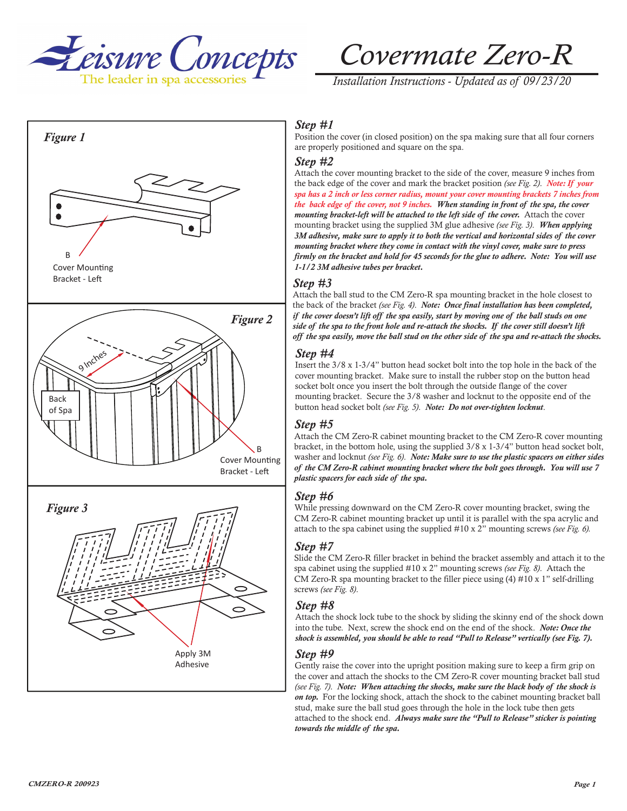

*Installation Instructions - Updated as of 09/23/20*



# *Step #1*

Position the cover (in closed position) on the spa making sure that all four corners are properly positioned and square on the spa.

#### *Step #2*

Attach the cover mounting bracket to the side of the cover, measure 9 inches from the back edge of the cover and mark the bracket position *(see Fig. 2)*. *Note: If your spa has a 2 inch or less corner radius, mount your cover mounting brackets 7 inches from the back edge of the cover, not 9 inches. When standing in front of the spa, the cover mounting bracket-left will be attached to the left side of the cover.* Attach the cover mounting bracket using the supplied 3M glue adhesive *(see Fig. 3)*. *When applying 3M adhesive, make sure to apply it to both the vertical and horizontal sides of the cover mounting bracket where they come in contact with the vinyl cover, make sure to press firmly on the bracket and hold for 45 seconds for the glue to adhere. Note: You will use 1-1/2 3M adhesive tubes per bracket.* 

### *Step #3*

Attach the ball stud to the CM Zero-R spa mounting bracket in the hole closest to the back of the bracket *(see Fig. 4)*. *Note: Once final installation has been completed, if the cover doesn't lift off the spa easily, start by moving one of the ball studs on one side of the spa to the front hole and re-attach the shocks. If the cover still doesn't lift off the spa easily, move the ball stud on the other side of the spa and re-attach the shocks.*

#### *Step #4*

Insert the 3/8 x 1-3/4" button head socket bolt into the top hole in the back of the cover mounting bracket. Make sure to install the rubber stop on the button head socket bolt once you insert the bolt through the outside flange of the cover mounting bracket. Secure the 3/8 washer and locknut to the opposite end of the button head socket bolt *(see Fig. 5)*. *Note: Do not over-tighten locknut*.

## *Step #5*

Attach the CM Zero-R cabinet mounting bracket to the CM Zero-R cover mounting bracket, in the bottom hole, using the supplied 3/8 x 1-3/4" button head socket bolt, washer and locknut *(see Fig. 6)*. *Note: Make sure to use the plastic spacers on either sides of the CM Zero-R cabinet mounting bracket where the bolt goes through. You will use 7 plastic spacers for each side of the spa.*

## *Step #6*

While pressing downward on the CM Zero-R cover mounting bracket, swing the CM Zero-R cabinet mounting bracket up until it is parallel with the spa acrylic and attach to the spa cabinet using the supplied #10 x 2" mounting screws *(see Fig. 6).*

## *Step #7*

Slide the CM Zero-R filler bracket in behind the bracket assembly and attach it to the spa cabinet using the supplied #10 x 2" mounting screws *(see Fig. 8)*. Attach the CM Zero-R spa mounting bracket to the filler piece using (4) #10 x 1" self-drilling screws *(see Fig. 8)*.

### *Step #8*

Attach the shock lock tube to the shock by sliding the skinny end of the shock down into the tube. Next, screw the shock end on the end of the shock. *Note: Once the shock is assembled, you should be able to read "Pull to Release" vertically (see Fig. 7).*

## *Step #9*

Gently raise the cover into the upright position making sure to keep a firm grip on the cover and attach the shocks to the CM Zero-R cover mounting bracket ball stud *(see Fig. 7)*. *Note: When attaching the shocks, make sure the black body of the shock is on top.* For the locking shock, attach the shock to the cabinet mounting bracket ball stud, make sure the ball stud goes through the hole in the lock tube then gets attached to the shock end. *Always make sure the "Pull to Release" sticker is pointing towards the middle of the spa.*